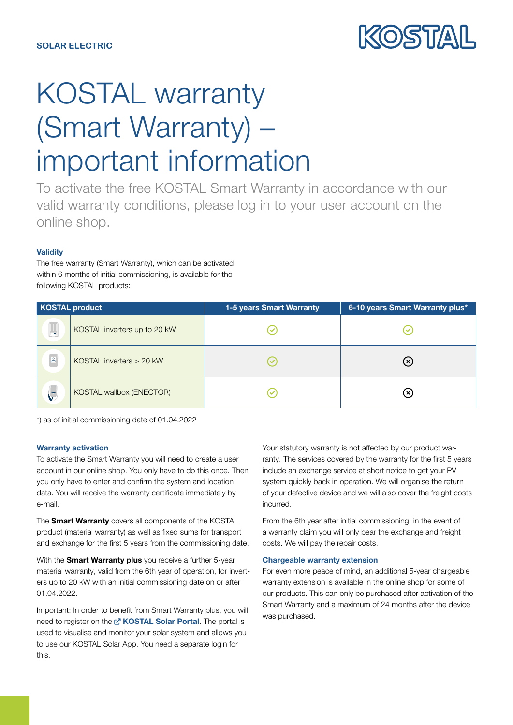

# KOSTAL warranty (Smart Warranty) – important information

To activate the free KOSTAL Smart Warranty in accordance with our valid warranty conditions, please log in to your user account on the online shop.

## **Validity**

The free warranty (Smart Warranty), which can be activated within 6 months of initial commissioning, is available for the following KOSTAL products:

| KOSTAL product |                              | 1-5 years Smart Warranty | 6-10 years Smart Warranty plus* |
|----------------|------------------------------|--------------------------|---------------------------------|
| 「黒」            | KOSTAL inverters up to 20 kW |                          |                                 |
| $\circ$<br>-   | KOSTAL inverters $> 20$ kW   |                          | (x)                             |
| V              | KOSTAL wallbox (ENECTOR)     |                          | ×                               |

\*) as of initial commissioning date of 01.04.2022

### Warranty activation

To activate the Smart Warranty you will need to create a user account in our online shop. You only have to do this once. Then you only have to enter and confirm the system and location data. You will receive the warranty certificate immediately by e-mail.

The **Smart Warranty** covers all components of the KOSTAL product (material warranty) as well as fixed sums for transport and exchange for the first 5 years from the commissioning date.

With the **Smart Warranty plus** you receive a further 5-year material warranty, valid from the 6th year of operation, for inverters up to 20 kW with an initial commissioning date on or after 01.04.2022.

Important: In order to benefit from Smart Warranty plus, you will need to register on the Z' [KOSTAL Solar Portal](https://www.kostal-solar-portal.com/). The portal is used to visualise and monitor your solar system and allows you to use our KOSTAL Solar App. You need a separate login for this.

Your statutory warranty is not affected by our product warranty. The services covered by the warranty for the first 5 years include an exchange service at short notice to get your PV system quickly back in operation. We will organise the return of your defective device and we will also cover the freight costs incurred.

From the 6th year after initial commissioning, in the event of a warranty claim you will only bear the exchange and freight costs. We will pay the repair costs.

#### Chargeable warranty extension

For even more peace of mind, an additional 5-year chargeable warranty extension is available in the online shop for some of our products. This can only be purchased after activation of the Smart Warranty and a maximum of 24 months after the device was purchased.